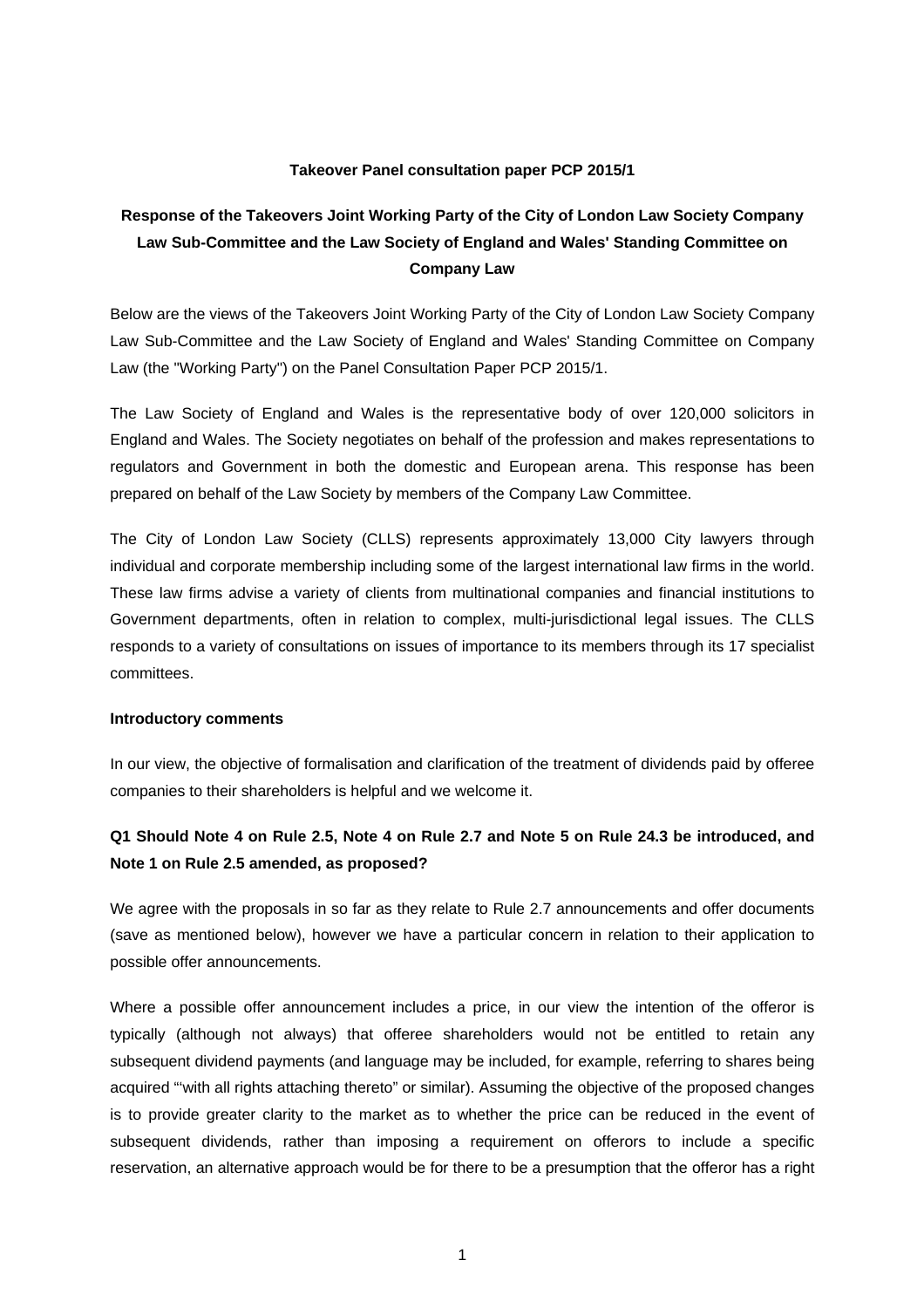### **Takeover Panel consultation paper PCP 2015/1**

# **Response of the Takeovers Joint Working Party of the City of London Law Society Company Law Sub-Committee and the Law Society of England and Wales' Standing Committee on Company Law**

Below are the views of the Takeovers Joint Working Party of the City of London Law Society Company Law Sub-Committee and the Law Society of England and Wales' Standing Committee on Company Law (the "Working Party") on the Panel Consultation Paper PCP 2015/1.

The Law Society of England and Wales is the representative body of over 120,000 solicitors in England and Wales. The Society negotiates on behalf of the profession and makes representations to regulators and Government in both the domestic and European arena. This response has been prepared on behalf of the Law Society by members of the Company Law Committee.

The City of London Law Society (CLLS) represents approximately 13,000 City lawyers through individual and corporate membership including some of the largest international law firms in the world. These law firms advise a variety of clients from multinational companies and financial institutions to Government departments, often in relation to complex, multi-jurisdictional legal issues. The CLLS responds to a variety of consultations on issues of importance to its members through its 17 specialist committees.

#### **Introductory comments**

In our view, the objective of formalisation and clarification of the treatment of dividends paid by offeree companies to their shareholders is helpful and we welcome it.

## **Q1 Should Note 4 on Rule 2.5, Note 4 on Rule 2.7 and Note 5 on Rule 24.3 be introduced, and Note 1 on Rule 2.5 amended, as proposed?**

We agree with the proposals in so far as they relate to Rule 2.7 announcements and offer documents (save as mentioned below), however we have a particular concern in relation to their application to possible offer announcements.

Where a possible offer announcement includes a price, in our view the intention of the offeror is typically (although not always) that offeree shareholders would not be entitled to retain any subsequent dividend payments (and language may be included, for example, referring to shares being acquired "'with all rights attaching thereto" or similar). Assuming the objective of the proposed changes is to provide greater clarity to the market as to whether the price can be reduced in the event of subsequent dividends, rather than imposing a requirement on offerors to include a specific reservation, an alternative approach would be for there to be a presumption that the offeror has a right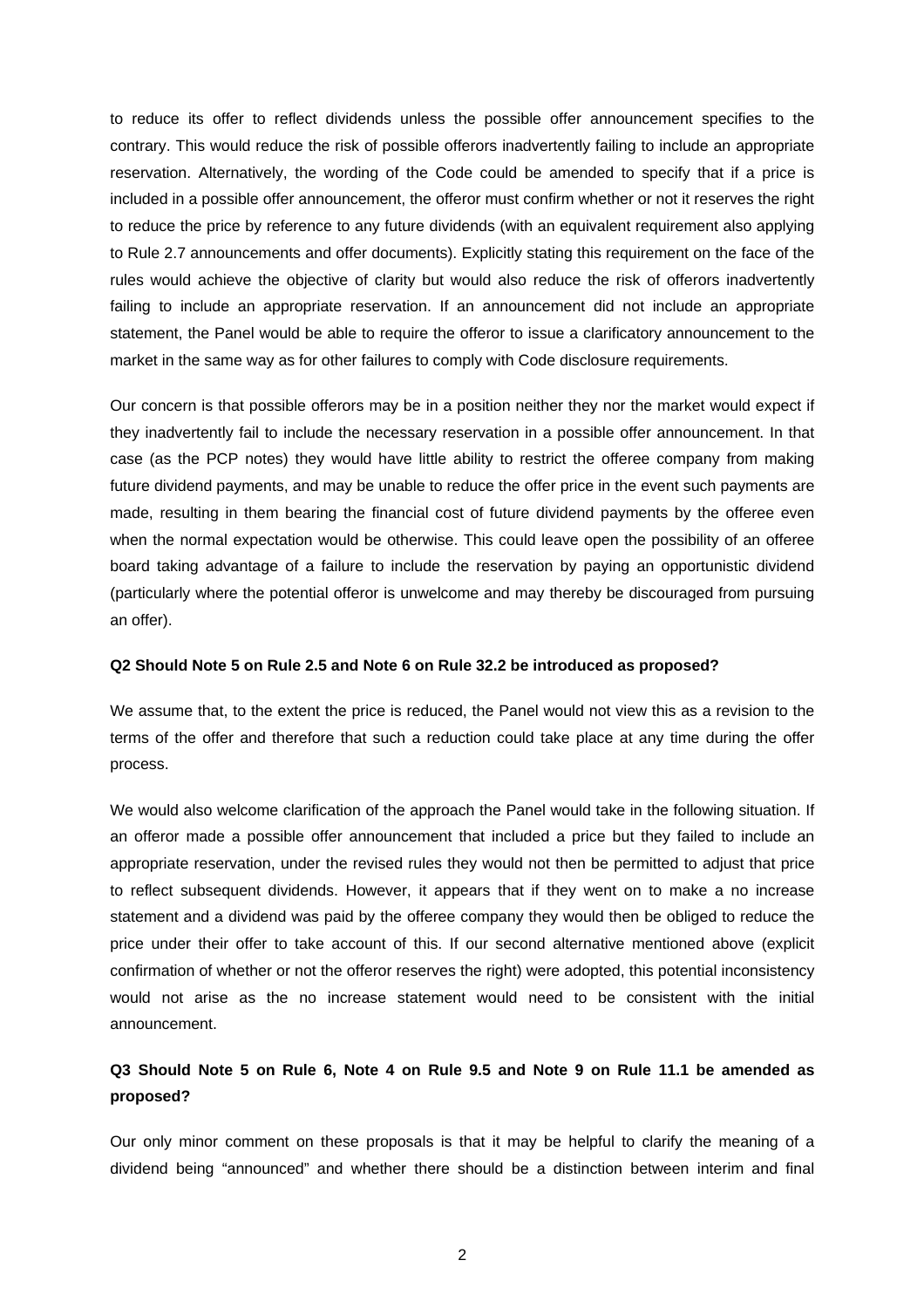to reduce its offer to reflect dividends unless the possible offer announcement specifies to the contrary. This would reduce the risk of possible offerors inadvertently failing to include an appropriate reservation. Alternatively, the wording of the Code could be amended to specify that if a price is included in a possible offer announcement, the offeror must confirm whether or not it reserves the right to reduce the price by reference to any future dividends (with an equivalent requirement also applying to Rule 2.7 announcements and offer documents). Explicitly stating this requirement on the face of the rules would achieve the objective of clarity but would also reduce the risk of offerors inadvertently failing to include an appropriate reservation. If an announcement did not include an appropriate statement, the Panel would be able to require the offeror to issue a clarificatory announcement to the market in the same way as for other failures to comply with Code disclosure requirements.

Our concern is that possible offerors may be in a position neither they nor the market would expect if they inadvertently fail to include the necessary reservation in a possible offer announcement. In that case (as the PCP notes) they would have little ability to restrict the offeree company from making future dividend payments, and may be unable to reduce the offer price in the event such payments are made, resulting in them bearing the financial cost of future dividend payments by the offeree even when the normal expectation would be otherwise. This could leave open the possibility of an offeree board taking advantage of a failure to include the reservation by paying an opportunistic dividend (particularly where the potential offeror is unwelcome and may thereby be discouraged from pursuing an offer).

#### **Q2 Should Note 5 on Rule 2.5 and Note 6 on Rule 32.2 be introduced as proposed?**

We assume that, to the extent the price is reduced, the Panel would not view this as a revision to the terms of the offer and therefore that such a reduction could take place at any time during the offer process.

We would also welcome clarification of the approach the Panel would take in the following situation. If an offeror made a possible offer announcement that included a price but they failed to include an appropriate reservation, under the revised rules they would not then be permitted to adjust that price to reflect subsequent dividends. However, it appears that if they went on to make a no increase statement and a dividend was paid by the offeree company they would then be obliged to reduce the price under their offer to take account of this. If our second alternative mentioned above (explicit confirmation of whether or not the offeror reserves the right) were adopted, this potential inconsistency would not arise as the no increase statement would need to be consistent with the initial announcement.

### **Q3 Should Note 5 on Rule 6, Note 4 on Rule 9.5 and Note 9 on Rule 11.1 be amended as proposed?**

Our only minor comment on these proposals is that it may be helpful to clarify the meaning of a dividend being "announced" and whether there should be a distinction between interim and final